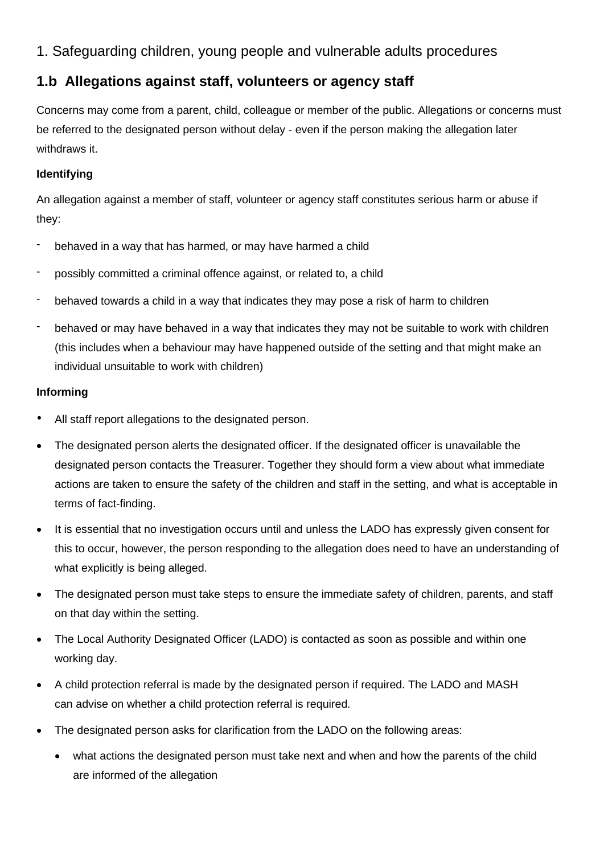# 1. Safeguarding children, young people and vulnerable adults procedures

# **1.b Allegations against staff, volunteers or agency staff**

Concerns may come from a parent, child, colleague or member of the public. Allegations or concerns must be referred to the designated person without delay - even if the person making the allegation later withdraws it.

# **Identifying**

An allegation against a member of staff, volunteer or agency staff constitutes serious harm or abuse if they:

- behaved in a way that has harmed, or may have harmed a child
- possibly committed a criminal offence against, or related to, a child
- behaved towards a child in a way that indicates they may pose a risk of harm to children
- behaved or may have behaved in a way that indicates they may not be suitable to work with children (this includes when a behaviour may have happened outside of the setting and that might make an individual unsuitable to work with children)

## **Informing**

- All staff report allegations to the designated person.
- The designated person alerts the designated officer. If the designated officer is unavailable the designated person contacts the Treasurer. Together they should form a view about what immediate actions are taken to ensure the safety of the children and staff in the setting, and what is acceptable in terms of fact-finding.
- It is essential that no investigation occurs until and unless the LADO has expressly given consent for this to occur, however, the person responding to the allegation does need to have an understanding of what explicitly is being alleged.
- The designated person must take steps to ensure the immediate safety of children, parents, and staff on that day within the setting.
- The Local Authority Designated Officer (LADO) is contacted as soon as possible and within one working day.
- A child protection referral is made by the designated person if required. The LADO and MASH can advise on whether a child protection referral is required.
- The designated person asks for clarification from the LADO on the following areas:
	- what actions the designated person must take next and when and how the parents of the child are informed of the allegation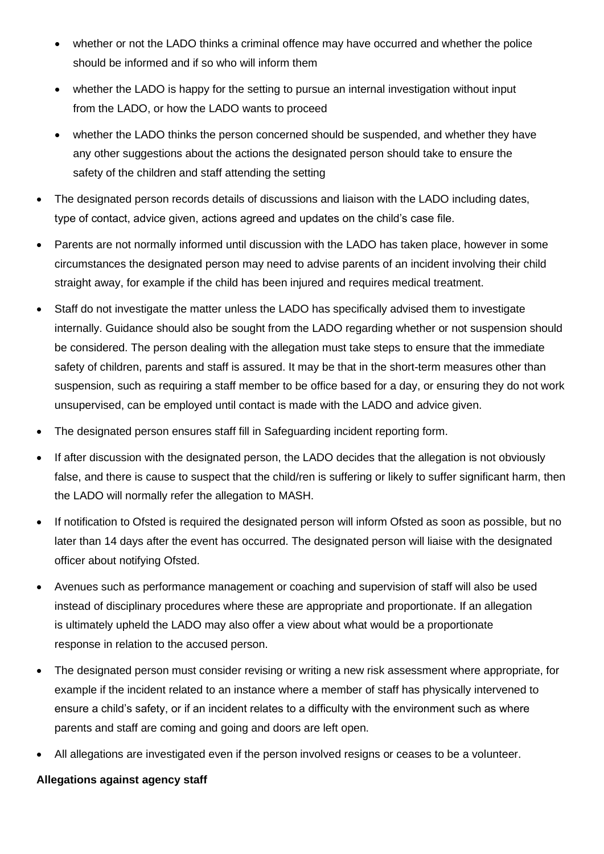- whether or not the LADO thinks a criminal offence may have occurred and whether the police should be informed and if so who will inform them
- whether the LADO is happy for the setting to pursue an internal investigation without input from the LADO, or how the LADO wants to proceed
- whether the LADO thinks the person concerned should be suspended, and whether they have any other suggestions about the actions the designated person should take to ensure the safety of the children and staff attending the setting
- The designated person records details of discussions and liaison with the LADO including dates, type of contact, advice given, actions agreed and updates on the child's case file.
- Parents are not normally informed until discussion with the LADO has taken place, however in some circumstances the designated person may need to advise parents of an incident involving their child straight away, for example if the child has been injured and requires medical treatment.
- Staff do not investigate the matter unless the LADO has specifically advised them to investigate internally. Guidance should also be sought from the LADO regarding whether or not suspension should be considered. The person dealing with the allegation must take steps to ensure that the immediate safety of children, parents and staff is assured. It may be that in the short-term measures other than suspension, such as requiring a staff member to be office based for a day, or ensuring they do not work unsupervised, can be employed until contact is made with the LADO and advice given.
- The designated person ensures staff fill in Safeguarding incident reporting form.
- If after discussion with the designated person, the LADO decides that the allegation is not obviously false, and there is cause to suspect that the child/ren is suffering or likely to suffer significant harm, then the LADO will normally refer the allegation to MASH.
- If notification to Ofsted is required the designated person will inform Ofsted as soon as possible, but no later than 14 days after the event has occurred. The designated person will liaise with the designated officer about notifying Ofsted.
- Avenues such as performance management or coaching and supervision of staff will also be used instead of disciplinary procedures where these are appropriate and proportionate. If an allegation is ultimately upheld the LADO may also offer a view about what would be a proportionate response in relation to the accused person.
- The designated person must consider revising or writing a new risk assessment where appropriate, for example if the incident related to an instance where a member of staff has physically intervened to ensure a child's safety, or if an incident relates to a difficulty with the environment such as where parents and staff are coming and going and doors are left open.
- All allegations are investigated even if the person involved resigns or ceases to be a volunteer.

#### **Allegations against agency staff**